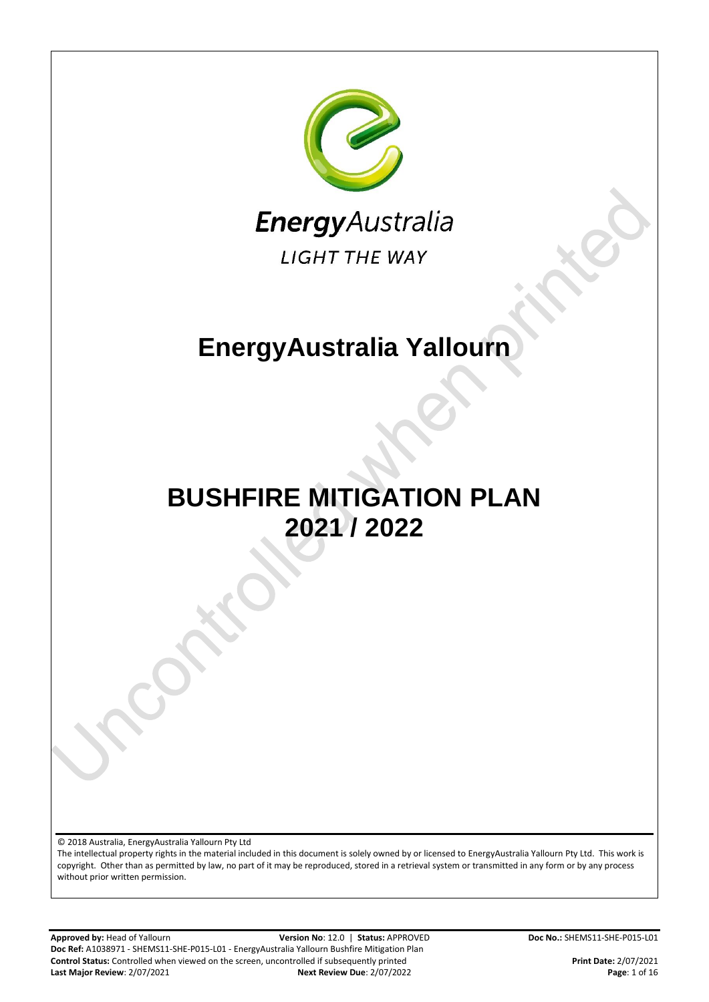

**Approved by:** Head of Yallourn **Version No**: 12.0 | **Status:** APPROVED **Doc No.:** SHEMS11-SHE-P015-L01 **Doc Ref:** A1038971 - SHEMS11-SHE-P015-L01 - EnergyAustralia Yallourn Bushfire Mitigation Plan **Control Status:** Controlled when viewed on the screen, uncontrolled if subsequently printed<br>**Print Date:** 2/07/2021 **Print Date:** 2/07/2021 **Print Date:** 2/07/2022 **Page:** 1 of 16 **Last Major Review: 2/07/2021**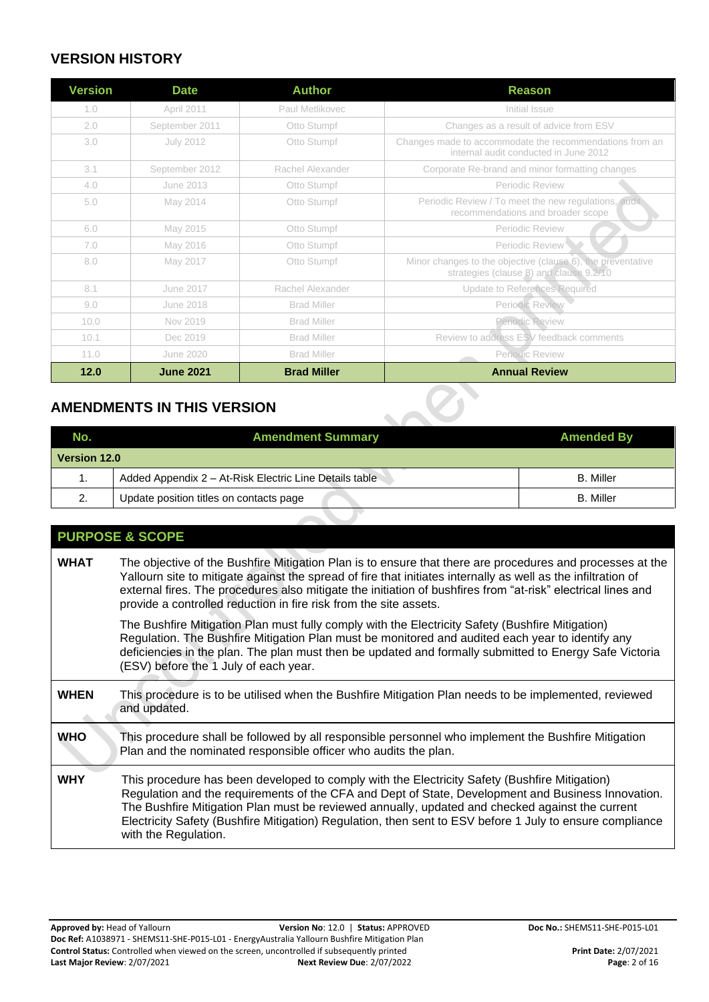#### **VERSION HISTORY**

| <b>Version</b> | <b>Date</b>      | <b>Author</b>      | <b>Reason</b>                                                                                          |  |  |  |
|----------------|------------------|--------------------|--------------------------------------------------------------------------------------------------------|--|--|--|
| 1.0            | April 2011       | Paul Metlikovec    | Initial Issue                                                                                          |  |  |  |
| 2.0            | September 2011   | Otto Stumpf        | Changes as a result of advice from ESV                                                                 |  |  |  |
| 3.0            | <b>July 2012</b> | Otto Stumpf        | Changes made to accommodate the recommendations from an<br>internal audit conducted in June 2012       |  |  |  |
| 3.1            | September 2012   | Rachel Alexander   | Corporate Re-brand and minor formatting changes                                                        |  |  |  |
| 4.0            | June 2013        | Otto Stumpf        | Periodic Review                                                                                        |  |  |  |
| 5.0            | May 2014         | Otto Stumpf        | Periodic Review / To meet the new regulations, audit<br>recommendations and broader scope              |  |  |  |
| 6.0            | May 2015         | Otto Stumpf        | Periodic Review                                                                                        |  |  |  |
| 7.0            | May 2016         | Otto Stumpf        | Periodic Review                                                                                        |  |  |  |
| 8.0            | May 2017         | Otto Stumpf        | Minor changes to the objective (clause 6), the preventative<br>strategies (clause 8) and clause 9.2/10 |  |  |  |
| 8.1            | June 2017        | Rachel Alexander   | <b>Update to References Required</b>                                                                   |  |  |  |
| 9.0            | June 2018        | <b>Brad Miller</b> | Periodic Review                                                                                        |  |  |  |
| 10.0           | Nov 2019         | <b>Brad Miller</b> | Periodic Review                                                                                        |  |  |  |
| 10.1           | Dec 2019         | <b>Brad Miller</b> | Review to address ESV feedback comments                                                                |  |  |  |
| 11.0           | <b>June 2020</b> | <b>Brad Miller</b> | Periodic Review                                                                                        |  |  |  |
| 12.0           | <b>June 2021</b> | <b>Brad Miller</b> | <b>Annual Review</b>                                                                                   |  |  |  |

#### **AMENDMENTS IN THIS VERSION**

| <b>AMENDMENTS IN THIS VERSION</b> |                                                        |                   |  |  |  |
|-----------------------------------|--------------------------------------------------------|-------------------|--|--|--|
| No.                               | <b>Amendment Summary</b>                               | <b>Amended By</b> |  |  |  |
| Version 12.0                      |                                                        |                   |  |  |  |
|                                   | Added Appendix 2 - At-Risk Electric Line Details table | <b>B.</b> Miller  |  |  |  |
| 2.                                | Update position titles on contacts page                | <b>B.</b> Miller  |  |  |  |
|                                   |                                                        |                   |  |  |  |

#### **PURPOSE & SCOPE**

| <b>WHAT</b> | The objective of the Bushfire Mitigation Plan is to ensure that there are procedures and processes at the<br>Yallourn site to mitigate against the spread of fire that initiates internally as well as the infiltration of<br>external fires. The procedures also mitigate the initiation of bushfires from "at-risk" electrical lines and<br>provide a controlled reduction in fire risk from the site assets.                            |  |  |  |  |
|-------------|--------------------------------------------------------------------------------------------------------------------------------------------------------------------------------------------------------------------------------------------------------------------------------------------------------------------------------------------------------------------------------------------------------------------------------------------|--|--|--|--|
|             | The Bushfire Mitigation Plan must fully comply with the Electricity Safety (Bushfire Mitigation)<br>Regulation. The Bushfire Mitigation Plan must be monitored and audited each year to identify any<br>deficiencies in the plan. The plan must then be updated and formally submitted to Energy Safe Victoria<br>(ESV) before the 1 July of each year.                                                                                    |  |  |  |  |
| <b>WHEN</b> | This procedure is to be utilised when the Bushfire Mitigation Plan needs to be implemented, reviewed<br>and updated.                                                                                                                                                                                                                                                                                                                       |  |  |  |  |
| <b>WHO</b>  | This procedure shall be followed by all responsible personnel who implement the Bushfire Mitigation<br>Plan and the nominated responsible officer who audits the plan.                                                                                                                                                                                                                                                                     |  |  |  |  |
| <b>WHY</b>  | This procedure has been developed to comply with the Electricity Safety (Bushfire Mitigation)<br>Regulation and the requirements of the CFA and Dept of State, Development and Business Innovation.<br>The Bushfire Mitigation Plan must be reviewed annually, updated and checked against the current<br>Electricity Safety (Bushfire Mitigation) Regulation, then sent to ESV before 1 July to ensure compliance<br>with the Regulation. |  |  |  |  |
|             |                                                                                                                                                                                                                                                                                                                                                                                                                                            |  |  |  |  |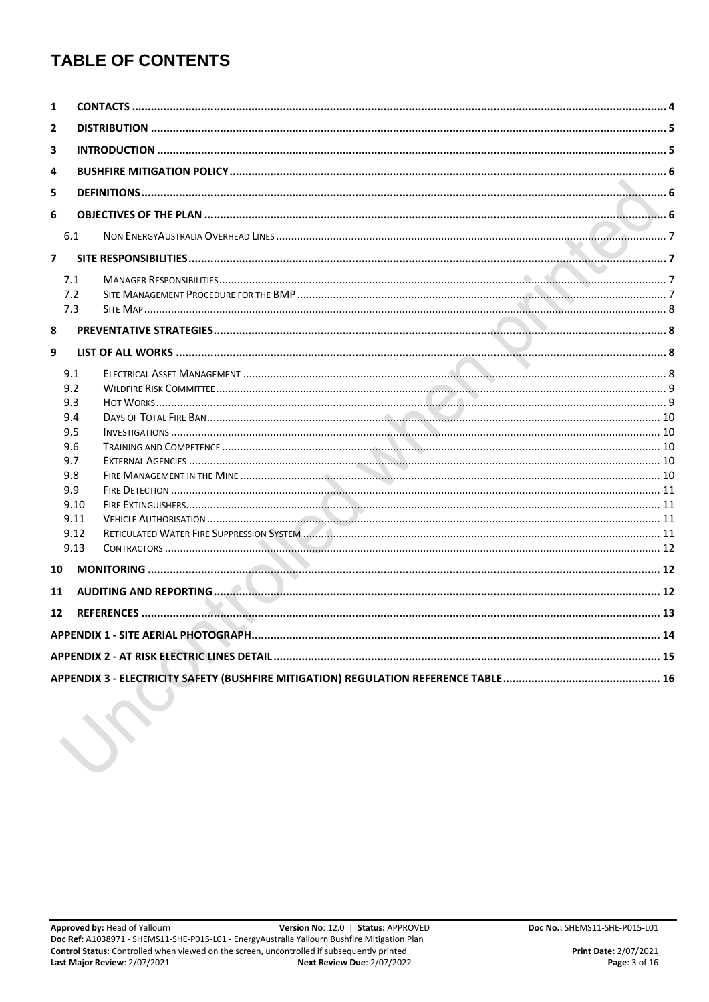# **TABLE OF CONTENTS**

| 1              |      |  |  |  |  |  |
|----------------|------|--|--|--|--|--|
| 2              |      |  |  |  |  |  |
| 3              |      |  |  |  |  |  |
|                |      |  |  |  |  |  |
| 4              |      |  |  |  |  |  |
| 5              |      |  |  |  |  |  |
| 6              |      |  |  |  |  |  |
|                | 6.1  |  |  |  |  |  |
| $\overline{7}$ |      |  |  |  |  |  |
|                |      |  |  |  |  |  |
|                | 7.1  |  |  |  |  |  |
|                | 7.2  |  |  |  |  |  |
|                | 7.3  |  |  |  |  |  |
| 8              |      |  |  |  |  |  |
| 9              |      |  |  |  |  |  |
|                |      |  |  |  |  |  |
|                | 9.1  |  |  |  |  |  |
|                | 9.2  |  |  |  |  |  |
|                | 9.3  |  |  |  |  |  |
|                | 9.4  |  |  |  |  |  |
|                | 9.5  |  |  |  |  |  |
|                | 9.6  |  |  |  |  |  |
|                | 9.7  |  |  |  |  |  |
|                | 9.8  |  |  |  |  |  |
|                | 9.9  |  |  |  |  |  |
|                | 9.10 |  |  |  |  |  |
|                | 9.11 |  |  |  |  |  |
|                | 9.12 |  |  |  |  |  |
|                | 9.13 |  |  |  |  |  |
| 10             |      |  |  |  |  |  |
| 11             |      |  |  |  |  |  |
|                |      |  |  |  |  |  |
| 12             |      |  |  |  |  |  |
|                |      |  |  |  |  |  |
|                |      |  |  |  |  |  |
|                |      |  |  |  |  |  |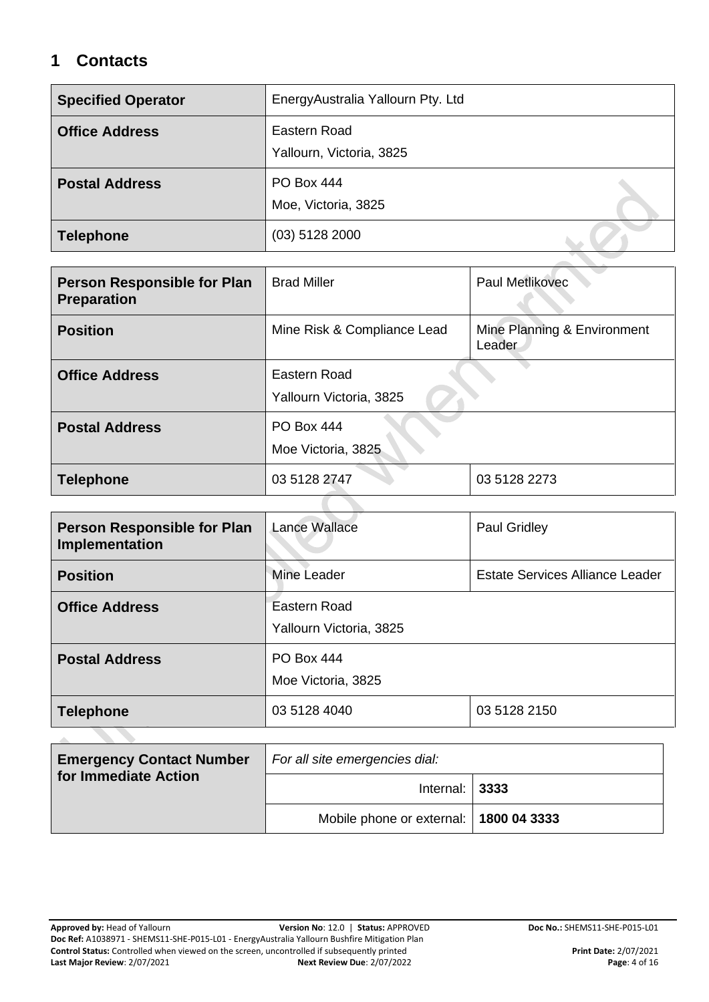### <span id="page-3-0"></span>**1 Contacts**

| <b>Specified Operator</b> | EnergyAustralia Yallourn Pty. Ltd        |
|---------------------------|------------------------------------------|
| <b>Office Address</b>     | Eastern Road<br>Yallourn, Victoria, 3825 |
| <b>Postal Address</b>     | <b>PO Box 444</b><br>Moe, Victoria, 3825 |
| <b>Telephone</b>          | $(03)$ 5128 2000                         |

| <b>Person Responsible for Plan</b><br><b>Preparation</b> | Paul Metlikovec<br><b>Brad Miller</b>                                |              |  |
|----------------------------------------------------------|----------------------------------------------------------------------|--------------|--|
| <b>Position</b>                                          | Mine Risk & Compliance Lead<br>Mine Planning & Environment<br>Leader |              |  |
| <b>Office Address</b>                                    | Eastern Road<br>Yallourn Victoria, 3825                              |              |  |
| <b>Postal Address</b>                                    | <b>PO Box 444</b><br>Moe Victoria, 3825                              |              |  |
| <b>Telephone</b>                                         | 03 5128 2747                                                         | 03 5128 2273 |  |
|                                                          |                                                                      |              |  |

| Person Responsible for Plan<br>Implementation | <b>Lance Wallace</b>                    | Paul Gridley                           |  |
|-----------------------------------------------|-----------------------------------------|----------------------------------------|--|
| <b>Position</b>                               | Mine Leader                             | <b>Estate Services Alliance Leader</b> |  |
| <b>Office Address</b>                         | Eastern Road<br>Yallourn Victoria, 3825 |                                        |  |
| <b>Postal Address</b>                         | <b>PO Box 444</b><br>Moe Victoria, 3825 |                                        |  |
| <b>Telephone</b>                              | 03 5128 4040                            | 03 5128 2150                           |  |
|                                               |                                         |                                        |  |

| <b>Emergency Contact Number</b> | For all site emergencies dial:           |  |  |  |
|---------------------------------|------------------------------------------|--|--|--|
| for Immediate Action            | Internal: $ 3333$                        |  |  |  |
|                                 | Mobile phone or external:   1800 04 3333 |  |  |  |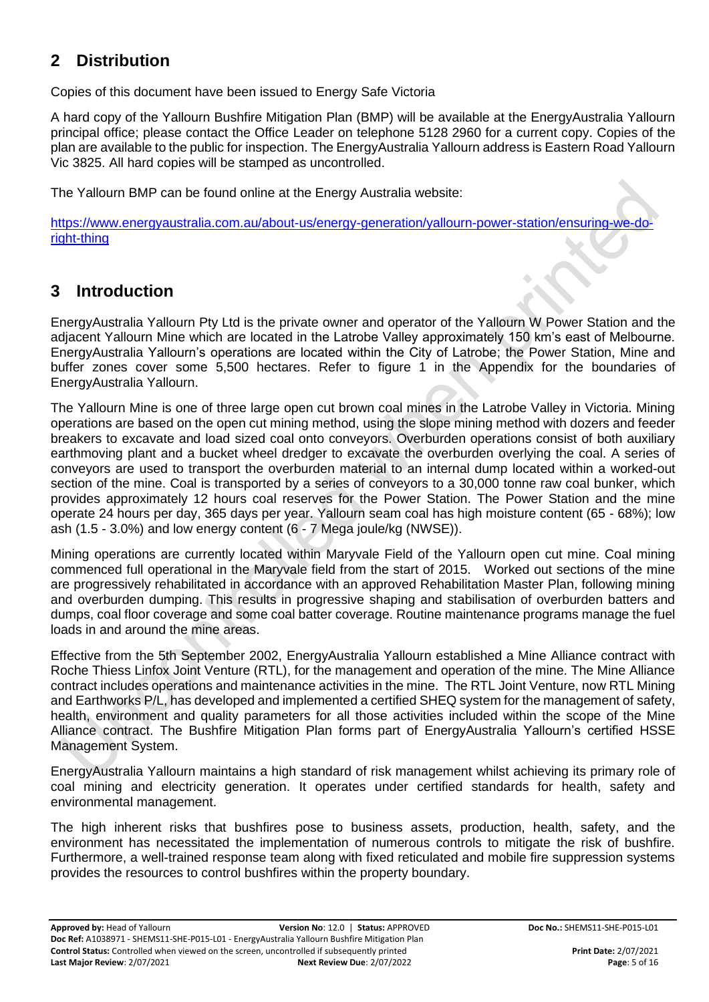### **2 Distribution**

Copies of this document have been issued to Energy Safe Victoria

A hard copy of the Yallourn Bushfire Mitigation Plan (BMP) will be available at the EnergyAustralia Yallourn principal office; please contact the Office Leader on telephone 5128 2960 for a current copy. Copies of the plan are available to the public for inspection. The EnergyAustralia Yallourn address is Eastern Road Yallourn Vic 3825. All hard copies will be stamped as uncontrolled.

The Yallourn BMP can be found online at the Energy Australia website:

[https://www.energyaustralia.com.au/about-us/energy-generation/yallourn-power-station/ensuring-we-do](https://www.energyaustralia.com.au/about-us/energy-generation/yallourn-power-station/ensuring-we-do-right-thing)[right-thing](https://www.energyaustralia.com.au/about-us/energy-generation/yallourn-power-station/ensuring-we-do-right-thing)

### **3 Introduction**

EnergyAustralia Yallourn Pty Ltd is the private owner and operator of the Yallourn W Power Station and the adjacent Yallourn Mine which are located in the Latrobe Valley approximately 150 km's east of Melbourne. EnergyAustralia Yallourn's operations are located within the City of Latrobe; the Power Station, Mine and buffer zones cover some 5,500 hectares. Refer to figure 1 in the Appendix for the boundaries of EnergyAustralia Yallourn.

The Yallourn Mine is one of three large open cut brown coal mines in the Latrobe Valley in Victoria. Mining operations are based on the open cut mining method, using the slope mining method with dozers and feeder breakers to excavate and load sized coal onto conveyors. Overburden operations consist of both auxiliary earthmoving plant and a bucket wheel dredger to excavate the overburden overlying the coal. A series of conveyors are used to transport the overburden material to an internal dump located within a worked-out section of the mine. Coal is transported by a series of conveyors to a 30,000 tonne raw coal bunker, which provides approximately 12 hours coal reserves for the Power Station. The Power Station and the mine operate 24 hours per day, 365 days per year. Yallourn seam coal has high moisture content (65 - 68%); low ash (1.5 - 3.0%) and low energy content (6 - 7 Mega joule/kg (NWSE)).

Mining operations are currently located within Maryvale Field of the Yallourn open cut mine. Coal mining commenced full operational in the Maryvale field from the start of 2015. Worked out sections of the mine are progressively rehabilitated in accordance with an approved Rehabilitation Master Plan, following mining and overburden dumping. This results in progressive shaping and stabilisation of overburden batters and dumps, coal floor coverage and some coal batter coverage. Routine maintenance programs manage the fuel loads in and around the mine areas.

Effective from the 5th September 2002, EnergyAustralia Yallourn established a Mine Alliance contract with Roche Thiess Linfox Joint Venture (RTL), for the management and operation of the mine. The Mine Alliance contract includes operations and maintenance activities in the mine. The RTL Joint Venture, now RTL Mining and Earthworks P/L, has developed and implemented a certified SHEQ system for the management of safety, health, environment and quality parameters for all those activities included within the scope of the Mine Alliance contract. The Bushfire Mitigation Plan forms part of EnergyAustralia Yallourn's certified HSSE Management System.

EnergyAustralia Yallourn maintains a high standard of risk management whilst achieving its primary role of coal mining and electricity generation. It operates under certified standards for health, safety and environmental management.

The high inherent risks that bushfires pose to business assets, production, health, safety, and the environment has necessitated the implementation of numerous controls to mitigate the risk of bushfire. Furthermore, a well-trained response team along with fixed reticulated and mobile fire suppression systems provides the resources to control bushfires within the property boundary.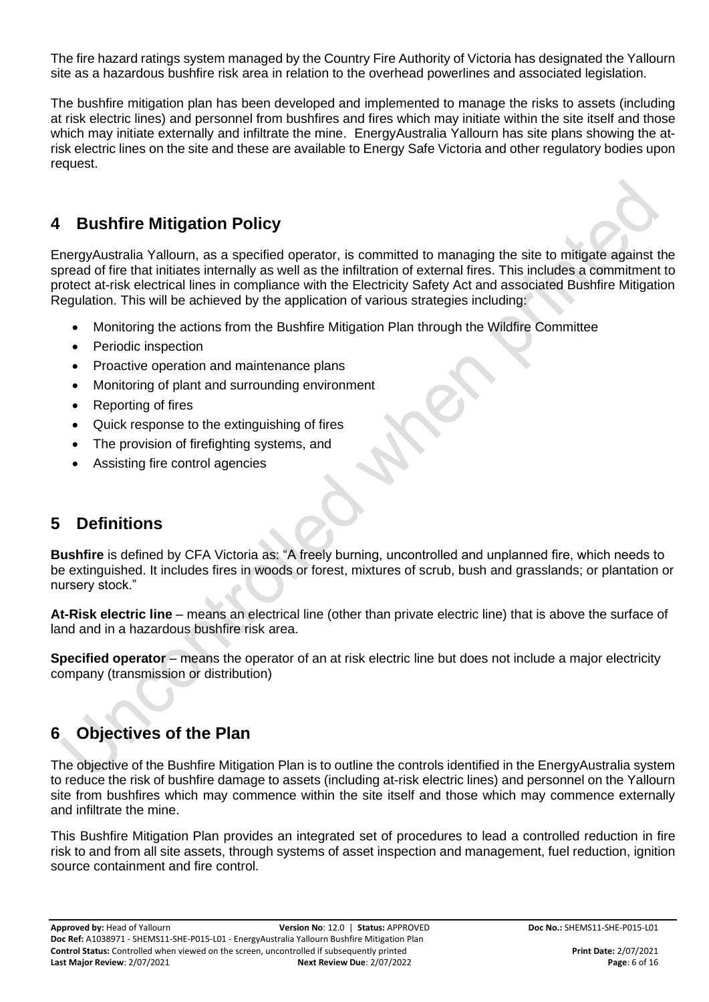The fire hazard ratings system managed by the Country Fire Authority of Victoria has designated the Yallourn site as a hazardous bushfire risk area in relation to the overhead powerlines and associated legislation.

The bushfire mitigation plan has been developed and implemented to manage the risks to assets (including at risk electric lines) and personnel from bushfires and fires which may initiate within the site itself and those which may initiate externally and infiltrate the mine. EnergyAustralia Yallourn has site plans showing the atrisk electric lines on the site and these are available to Energy Safe Victoria and other regulatory bodies upon request.

### <span id="page-5-0"></span>**4 Bushfire Mitigation Policy**

EnergyAustralia Yallourn, as a specified operator, is committed to managing the site to mitigate against the spread of fire that initiates internally as well as the infiltration of external fires. This includes a commitment to protect at-risk electrical lines in compliance with the Electricity Safety Act and associated Bushfire Mitigation Regulation. This will be achieved by the application of various strategies including:

- Monitoring the actions from the Bushfire Mitigation Plan through the Wildfire Committee
- Periodic inspection
- Proactive operation and maintenance plans
- Monitoring of plant and surrounding environment
- Reporting of fires
- Quick response to the extinguishing of fires
- The provision of firefighting systems, and
- Assisting fire control agencies

### **5 Definitions**

**Bushfire** is defined by CFA Victoria as: "A freely burning, uncontrolled and unplanned fire, which needs to be extinguished. It includes fires in woods or forest, mixtures of scrub, bush and grasslands; or plantation or nursery stock."

**At-Risk electric line** – means an electrical line (other than private electric line) that is above the surface of land and in a hazardous bushfire risk area.

**Specified operator** – means the operator of an at risk electric line but does not include a major electricity company (transmission or distribution)

### <span id="page-5-1"></span>**6 Objectives of the Plan**

The objective of the Bushfire Mitigation Plan is to outline the controls identified in the EnergyAustralia system to reduce the risk of bushfire damage to assets (including at-risk electric lines) and personnel on the Yallourn site from bushfires which may commence within the site itself and those which may commence externally and infiltrate the mine.

This Bushfire Mitigation Plan provides an integrated set of procedures to lead a controlled reduction in fire risk to and from all site assets, through systems of asset inspection and management, fuel reduction, ignition source containment and fire control.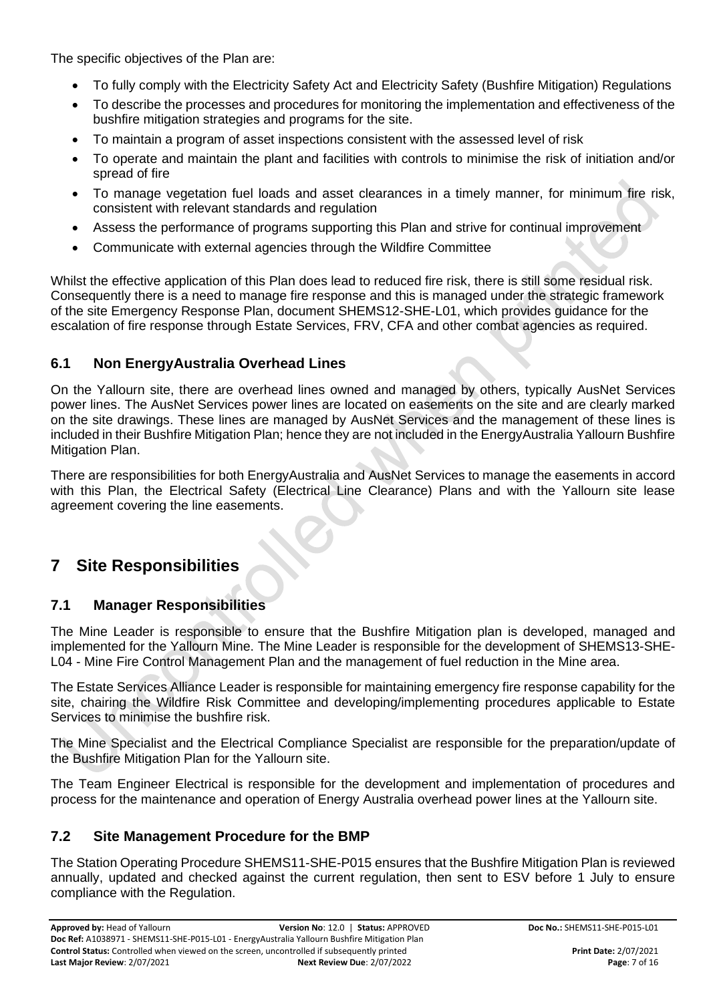The specific objectives of the Plan are:

- To fully comply with the Electricity Safety Act and Electricity Safety (Bushfire Mitigation) Regulations
- To describe the processes and procedures for monitoring the implementation and effectiveness of the bushfire mitigation strategies and programs for the site.
- To maintain a program of asset inspections consistent with the assessed level of risk
- To operate and maintain the plant and facilities with controls to minimise the risk of initiation and/or spread of fire
- To manage vegetation fuel loads and asset clearances in a timely manner, for minimum fire risk, consistent with relevant standards and regulation
- Assess the performance of programs supporting this Plan and strive for continual improvement
- Communicate with external agencies through the Wildfire Committee

Whilst the effective application of this Plan does lead to reduced fire risk, there is still some residual risk. Consequently there is a need to manage fire response and this is managed under the strategic framework of the site Emergency Response Plan, document SHEMS12-SHE-L01, which provides guidance for the escalation of fire response through Estate Services, FRV, CFA and other combat agencies as required.

#### **6.1 Non EnergyAustralia Overhead Lines**

On the Yallourn site, there are overhead lines owned and managed by others, typically AusNet Services power lines. The AusNet Services power lines are located on easements on the site and are clearly marked on the site drawings. These lines are managed by AusNet Services and the management of these lines is included in their Bushfire Mitigation Plan; hence they are not included in the EnergyAustralia Yallourn Bushfire Mitigation Plan.

There are responsibilities for both EnergyAustralia and AusNet Services to manage the easements in accord with this Plan, the Electrical Safety (Electrical Line Clearance) Plans and with the Yallourn site lease agreement covering the line easements.

### **7 Site Responsibilities**

#### **7.1 Manager Responsibilities**

The Mine Leader is responsible to ensure that the Bushfire Mitigation plan is developed, managed and implemented for the Yallourn Mine. The Mine Leader is responsible for the development of SHEMS13-SHE-L04 - Mine Fire Control Management Plan and the management of fuel reduction in the Mine area.

The Estate Services Alliance Leader is responsible for maintaining emergency fire response capability for the site, chairing the Wildfire Risk Committee and developing/implementing procedures applicable to Estate Services to minimise the bushfire risk.

The Mine Specialist and the Electrical Compliance Specialist are responsible for the preparation/update of the Bushfire Mitigation Plan for the Yallourn site.

The Team Engineer Electrical is responsible for the development and implementation of procedures and process for the maintenance and operation of Energy Australia overhead power lines at the Yallourn site.

#### **7.2 Site Management Procedure for the BMP**

The Station Operating Procedure SHEMS11-SHE-P015 ensures that the Bushfire Mitigation Plan is reviewed annually, updated and checked against the current regulation, then sent to ESV before 1 July to ensure compliance with the Regulation.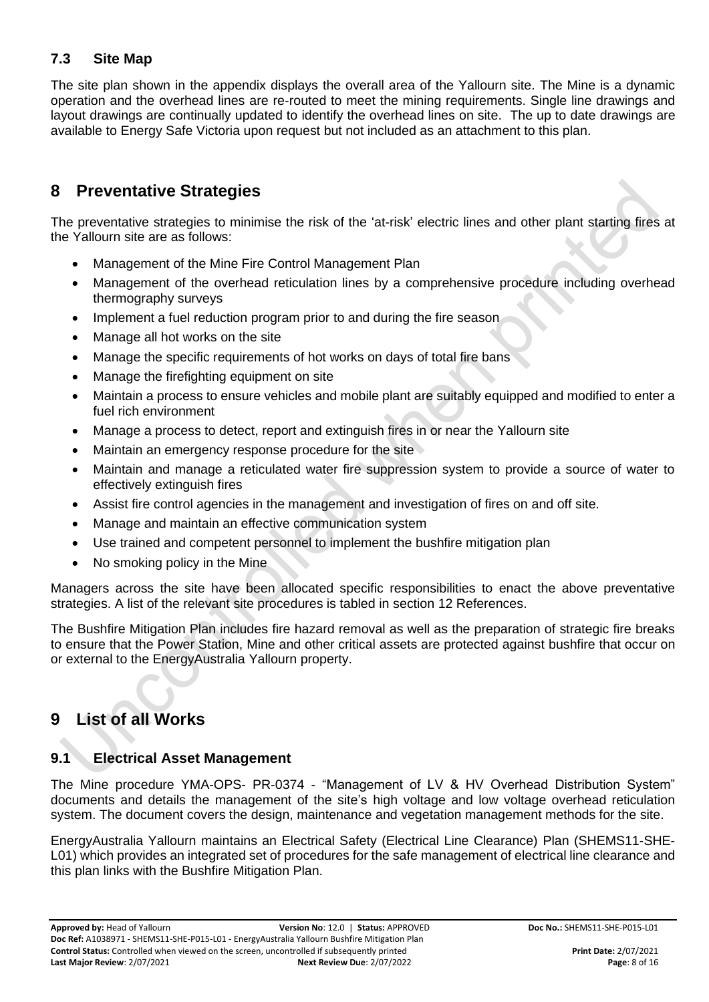#### <span id="page-7-0"></span>**7.3 Site Map**

The site plan shown in the appendix displays the overall area of the Yallourn site. The Mine is a dynamic operation and the overhead lines are re-routed to meet the mining requirements. Single line drawings and layout drawings are continually updated to identify the overhead lines on site. The up to date drawings are available to Energy Safe Victoria upon request but not included as an attachment to this plan.

### **8 Preventative Strategies**

The preventative strategies to minimise the risk of the 'at-risk' electric lines and other plant starting fires at the Yallourn site are as follows:

- Management of the Mine Fire Control Management Plan
- Management of the overhead reticulation lines by a comprehensive procedure including overhead thermography surveys
- Implement a fuel reduction program prior to and during the fire season
- Manage all hot works on the site
- Manage the specific requirements of hot works on days of total fire bans
- Manage the firefighting equipment on site
- Maintain a process to ensure vehicles and mobile plant are suitably equipped and modified to enter a fuel rich environment
- Manage a process to detect, report and extinguish fires in or near the Yallourn site
- Maintain an emergency response procedure for the site
- Maintain and manage a reticulated water fire suppression system to provide a source of water to effectively extinguish fires
- Assist fire control agencies in the management and investigation of fires on and off site.
- Manage and maintain an effective communication system
- Use trained and competent personnel to implement the bushfire mitigation plan
- No smoking policy in the Mine

Managers across the site have been allocated specific responsibilities to enact the above preventative strategies. A list of the relevant site procedures is tabled in section 12 References.

The Bushfire Mitigation Plan includes fire hazard removal as well as the preparation of strategic fire breaks to ensure that the Power Station, Mine and other critical assets are protected against bushfire that occur on or external to the EnergyAustralia Yallourn property.

### **9 List of all Works**

#### <span id="page-7-1"></span>**9.1 Electrical Asset Management**

The Mine procedure YMA-OPS- PR-0374 - "Management of LV & HV Overhead Distribution System" documents and details the management of the site's high voltage and low voltage overhead reticulation system. The document covers the design, maintenance and vegetation management methods for the site.

EnergyAustralia Yallourn maintains an Electrical Safety (Electrical Line Clearance) Plan (SHEMS11-SHE-L01) which provides an integrated set of procedures for the safe management of electrical line clearance and this plan links with the Bushfire Mitigation Plan.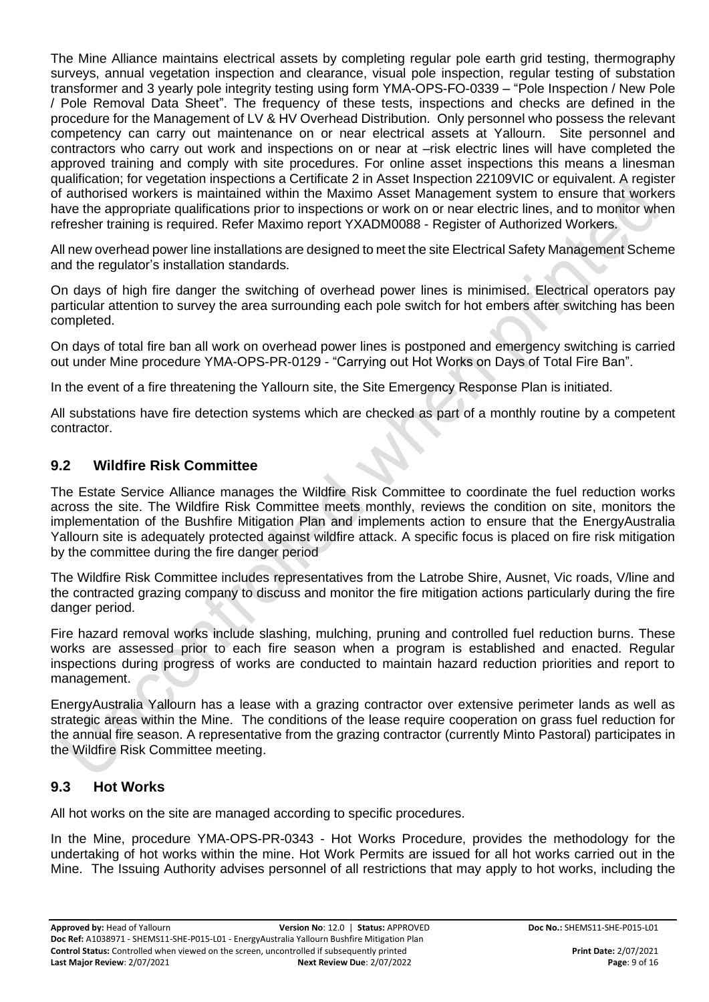The Mine Alliance maintains electrical assets by completing regular pole earth grid testing, thermography surveys, annual vegetation inspection and clearance, visual pole inspection, regular testing of substation transformer and 3 yearly pole integrity testing using form YMA-OPS-FO-0339 – "Pole Inspection / New Pole / Pole Removal Data Sheet". The frequency of these tests, inspections and checks are defined in the procedure for the Management of LV & HV Overhead Distribution. Only personnel who possess the relevant competency can carry out maintenance on or near electrical assets at Yallourn. Site personnel and contractors who carry out work and inspections on or near at –risk electric lines will have completed the approved training and comply with site procedures. For online asset inspections this means a linesman qualification; for vegetation inspections a Certificate 2 in Asset Inspection 22109VIC or equivalent. A register of authorised workers is maintained within the Maximo Asset Management system to ensure that workers have the appropriate qualifications prior to inspections or work on or near electric lines, and to monitor when refresher training is required. Refer Maximo report YXADM0088 - Register of Authorized Workers.

All new overhead power line installations are designed to meet the site Electrical Safety Management Scheme and the regulator's installation standards.

On days of high fire danger the switching of overhead power lines is minimised. Electrical operators pay particular attention to survey the area surrounding each pole switch for hot embers after switching has been completed.

On days of total fire ban all work on overhead power lines is postponed and emergency switching is carried out under Mine procedure YMA-OPS-PR-0129 - "Carrying out Hot Works on Days of Total Fire Ban".

In the event of a fire threatening the Yallourn site, the Site Emergency Response Plan is initiated.

All substations have fire detection systems which are checked as part of a monthly routine by a competent contractor.

#### <span id="page-8-0"></span>**9.2 Wildfire Risk Committee**

The Estate Service Alliance manages the Wildfire Risk Committee to coordinate the fuel reduction works across the site. The Wildfire Risk Committee meets monthly, reviews the condition on site, monitors the implementation of the Bushfire Mitigation Plan and implements action to ensure that the EnergyAustralia Yallourn site is adequately protected against wildfire attack. A specific focus is placed on fire risk mitigation by the committee during the fire danger period

The Wildfire Risk Committee includes representatives from the Latrobe Shire, Ausnet, Vic roads, V/line and the contracted grazing company to discuss and monitor the fire mitigation actions particularly during the fire danger period.

Fire hazard removal works include slashing, mulching, pruning and controlled fuel reduction burns. These works are assessed prior to each fire season when a program is established and enacted. Regular inspections during progress of works are conducted to maintain hazard reduction priorities and report to management.

EnergyAustralia Yallourn has a lease with a grazing contractor over extensive perimeter lands as well as strategic areas within the Mine. The conditions of the lease require cooperation on grass fuel reduction for the annual fire season. A representative from the grazing contractor (currently Minto Pastoral) participates in the Wildfire Risk Committee meeting.

#### **9.3 Hot Works**

All hot works on the site are managed according to specific procedures.

In the Mine, procedure YMA-OPS-PR-0343 - Hot Works Procedure, provides the methodology for the undertaking of hot works within the mine. Hot Work Permits are issued for all hot works carried out in the Mine. The Issuing Authority advises personnel of all restrictions that may apply to hot works, including the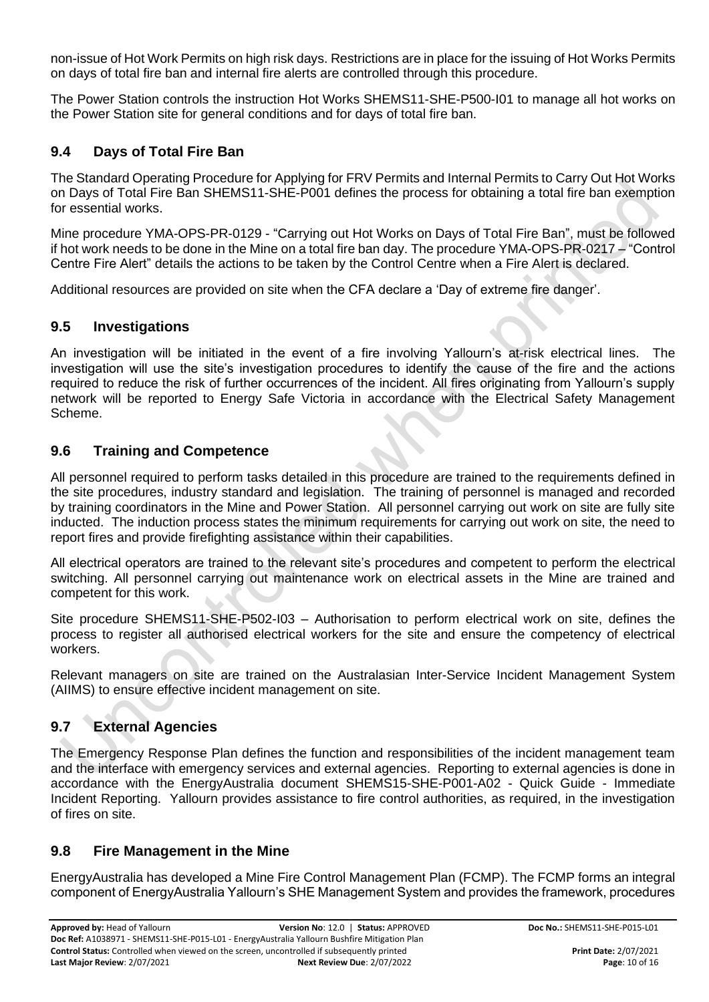non-issue of Hot Work Permits on high risk days. Restrictions are in place for the issuing of Hot Works Permits on days of total fire ban and internal fire alerts are controlled through this procedure.

The Power Station controls the instruction Hot Works SHEMS11-SHE-P500-I01 to manage all hot works on the Power Station site for general conditions and for days of total fire ban.

#### <span id="page-9-2"></span>**9.4 Days of Total Fire Ban**

The Standard Operating Procedure for Applying for FRV Permits and Internal Permits to Carry Out Hot Works on Days of Total Fire Ban SHEMS11-SHE-P001 defines the process for obtaining a total fire ban exemption for essential works.

Mine procedure YMA-OPS-PR-0129 - "Carrying out Hot Works on Days of Total Fire Ban", must be followed if hot work needs to be done in the Mine on a total fire ban day. The procedure YMA-OPS-PR-0217 – "Control Centre Fire Alert" details the actions to be taken by the Control Centre when a Fire Alert is declared.

Additional resources are provided on site when the CFA declare a 'Day of extreme fire danger'.

#### <span id="page-9-3"></span>**9.5 Investigations**

An investigation will be initiated in the event of a fire involving Yallourn's at-risk electrical lines. The investigation will use the site's investigation procedures to identify the cause of the fire and the actions required to reduce the risk of further occurrences of the incident. All fires originating from Yallourn's supply network will be reported to Energy Safe Victoria in accordance with the Electrical Safety Management Scheme.

#### <span id="page-9-0"></span>**9.6 Training and Competence**

All personnel required to perform tasks detailed in this procedure are trained to the requirements defined in the site procedures, industry standard and legislation. The training of personnel is managed and recorded by training coordinators in the Mine and Power Station. All personnel carrying out work on site are fully site inducted. The induction process states the minimum requirements for carrying out work on site, the need to report fires and provide firefighting assistance within their capabilities.

All electrical operators are trained to the relevant site's procedures and competent to perform the electrical switching. All personnel carrying out maintenance work on electrical assets in the Mine are trained and competent for this work.

Site procedure SHEMS11-SHE-P502-I03 – Authorisation to perform electrical work on site, defines the process to register all authorised electrical workers for the site and ensure the competency of electrical workers.

Relevant managers on site are trained on the Australasian Inter-Service Incident Management System (AIIMS) to ensure effective incident management on site.

#### <span id="page-9-4"></span>**9.7 External Agencies**

The Emergency Response Plan defines the function and responsibilities of the incident management team and the interface with emergency services and external agencies. Reporting to external agencies is done in accordance with the EnergyAustralia document SHEMS15-SHE-P001-A02 - Quick Guide - Immediate Incident Reporting. Yallourn provides assistance to fire control authorities, as required, in the investigation of fires on site.

#### <span id="page-9-1"></span>**9.8 Fire Management in the Mine**

EnergyAustralia has developed a Mine Fire Control Management Plan (FCMP). The FCMP forms an integral component of EnergyAustralia Yallourn's SHE Management System and provides the framework, procedures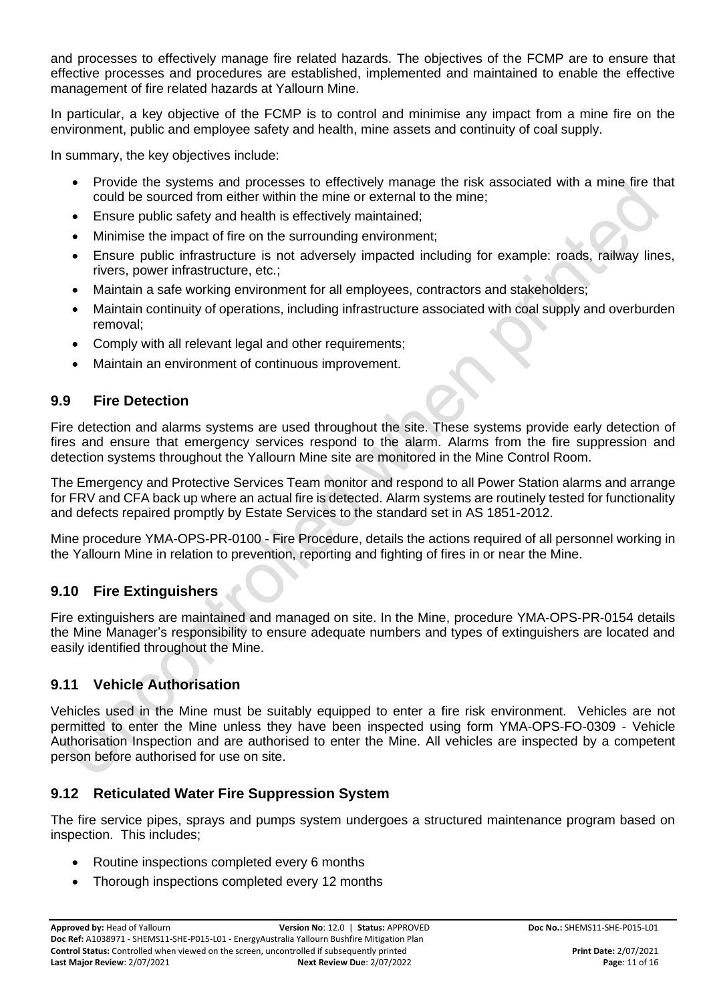and processes to effectively manage fire related hazards. The objectives of the FCMP are to ensure that effective processes and procedures are established, implemented and maintained to enable the effective management of fire related hazards at Yallourn Mine.

In particular, a key objective of the FCMP is to control and minimise any impact from a mine fire on the environment, public and employee safety and health, mine assets and continuity of coal supply.

In summary, the key objectives include:

- Provide the systems and processes to effectively manage the risk associated with a mine fire that could be sourced from either within the mine or external to the mine;
- Ensure public safety and health is effectively maintained;
- Minimise the impact of fire on the surrounding environment;
- Ensure public infrastructure is not adversely impacted including for example: roads, railway lines, rivers, power infrastructure, etc.;
- Maintain a safe working environment for all employees, contractors and stakeholders;
- Maintain continuity of operations, including infrastructure associated with coal supply and overburden removal;
- Comply with all relevant legal and other requirements;
- Maintain an environment of continuous improvement.

#### **9.9 Fire Detection**

Fire detection and alarms systems are used throughout the site. These systems provide early detection of fires and ensure that emergency services respond to the alarm. Alarms from the fire suppression and detection systems throughout the Yallourn Mine site are monitored in the Mine Control Room.

The Emergency and Protective Services Team monitor and respond to all Power Station alarms and arrange for FRV and CFA back up where an actual fire is detected. Alarm systems are routinely tested for functionality and defects repaired promptly by Estate Services to the standard set in AS 1851-2012.

Mine procedure YMA-OPS-PR-0100 - Fire Procedure, details the actions required of all personnel working in the Yallourn Mine in relation to prevention, reporting and fighting of fires in or near the Mine.

#### **9.10 Fire Extinguishers**

Fire extinguishers are maintained and managed on site. In the Mine, procedure YMA-OPS-PR-0154 details the Mine Manager's responsibility to ensure adequate numbers and types of extinguishers are located and easily identified throughout the Mine.

#### **9.11 Vehicle Authorisation**

Vehicles used in the Mine must be suitably equipped to enter a fire risk environment. Vehicles are not permitted to enter the Mine unless they have been inspected using form YMA-OPS-FO-0309 - Vehicle Authorisation Inspection and are authorised to enter the Mine. All vehicles are inspected by a competent person before authorised for use on site.

#### **9.12 Reticulated Water Fire Suppression System**

The fire service pipes, sprays and pumps system undergoes a structured maintenance program based on inspection. This includes;

- Routine inspections completed every 6 months
- Thorough inspections completed every 12 months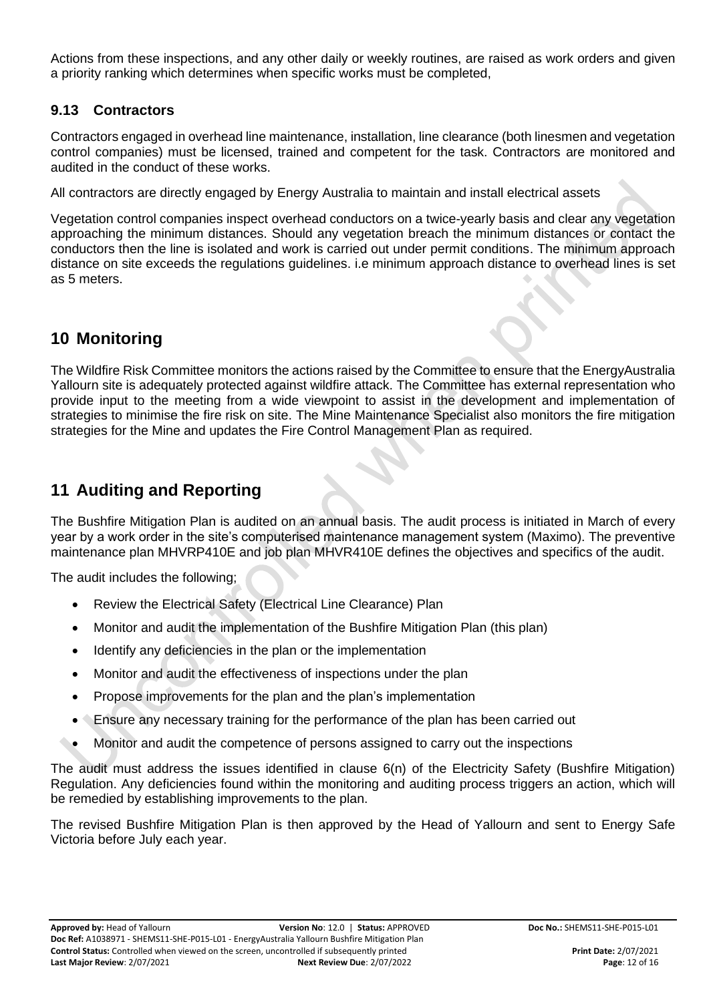Actions from these inspections, and any other daily or weekly routines, are raised as work orders and given a priority ranking which determines when specific works must be completed,

#### **9.13 Contractors**

Contractors engaged in overhead line maintenance, installation, line clearance (both linesmen and vegetation control companies) must be licensed, trained and competent for the task. Contractors are monitored and audited in the conduct of these works.

All contractors are directly engaged by Energy Australia to maintain and install electrical assets

Vegetation control companies inspect overhead conductors on a twice-yearly basis and clear any vegetation approaching the minimum distances. Should any vegetation breach the minimum distances or contact the conductors then the line is isolated and work is carried out under permit conditions. The minimum approach distance on site exceeds the regulations guidelines. i.e minimum approach distance to overhead lines is set as 5 meters.

### **10 Monitoring**

The Wildfire Risk Committee monitors the actions raised by the Committee to ensure that the EnergyAustralia Yallourn site is adequately protected against wildfire attack. The Committee has external representation who provide input to the meeting from a wide viewpoint to assist in the development and implementation of strategies to minimise the fire risk on site. The Mine Maintenance Specialist also monitors the fire mitigation strategies for the Mine and updates the Fire Control Management Plan as required.

### <span id="page-11-0"></span>**11 Auditing and Reporting**

The Bushfire Mitigation Plan is audited on an annual basis. The audit process is initiated in March of every year by a work order in the site's computerised maintenance management system (Maximo). The preventive maintenance plan MHVRP410E and job plan MHVR410E defines the objectives and specifics of the audit.

The audit includes the following;

- Review the Electrical Safety (Electrical Line Clearance) Plan
- Monitor and audit the implementation of the Bushfire Mitigation Plan (this plan)
- Identify any deficiencies in the plan or the implementation
- Monitor and audit the effectiveness of inspections under the plan
- Propose improvements for the plan and the plan's implementation
- Ensure any necessary training for the performance of the plan has been carried out
- Monitor and audit the competence of persons assigned to carry out the inspections

The audit must address the issues identified in clause 6(n) of the Electricity Safety (Bushfire Mitigation) Regulation. Any deficiencies found within the monitoring and auditing process triggers an action, which will be remedied by establishing improvements to the plan.

The revised Bushfire Mitigation Plan is then approved by the Head of Yallourn and sent to Energy Safe Victoria before July each year.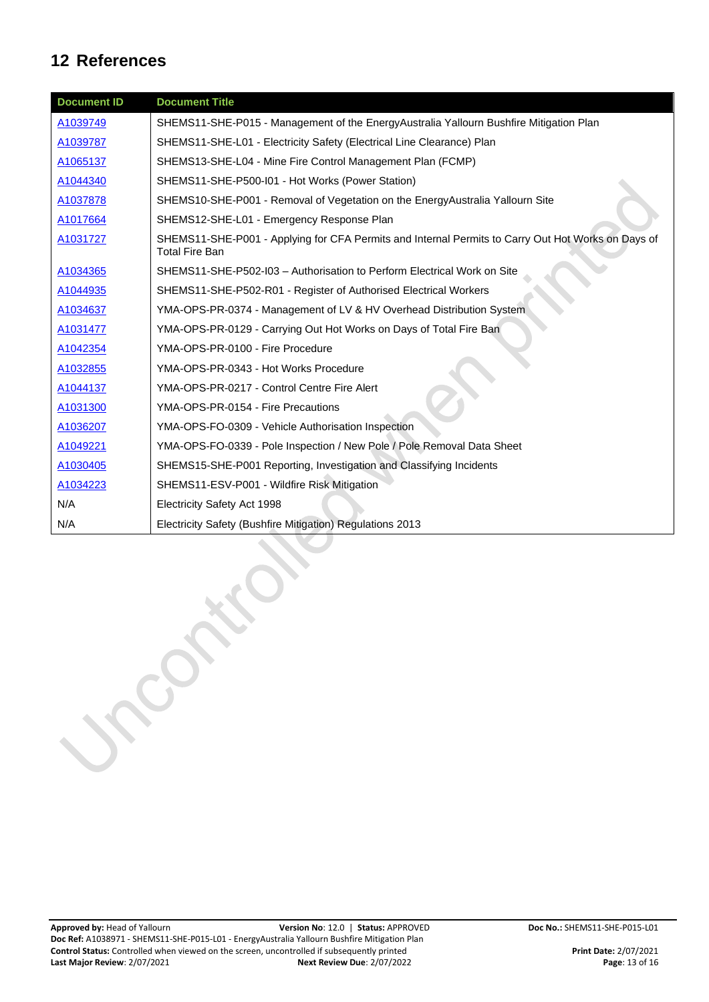### **12 References**

| <b>Document ID</b> | <b>Document Title</b>                                                                                                       |
|--------------------|-----------------------------------------------------------------------------------------------------------------------------|
| A1039749           | SHEMS11-SHE-P015 - Management of the EnergyAustralia Yallourn Bushfire Mitigation Plan                                      |
| A1039787           | SHEMS11-SHE-L01 - Electricity Safety (Electrical Line Clearance) Plan                                                       |
| A1065137           | SHEMS13-SHE-L04 - Mine Fire Control Management Plan (FCMP)                                                                  |
| A1044340           | SHEMS11-SHE-P500-I01 - Hot Works (Power Station)                                                                            |
| A1037878           | SHEMS10-SHE-P001 - Removal of Vegetation on the EnergyAustralia Yallourn Site                                               |
| A1017664           | SHEMS12-SHE-L01 - Emergency Response Plan                                                                                   |
| A1031727           | SHEMS11-SHE-P001 - Applying for CFA Permits and Internal Permits to Carry Out Hot Works on Days of<br><b>Total Fire Ban</b> |
| A1034365           | SHEMS11-SHE-P502-I03 - Authorisation to Perform Electrical Work on Site                                                     |
| A1044935           | SHEMS11-SHE-P502-R01 - Register of Authorised Electrical Workers                                                            |
| A1034637           | YMA-OPS-PR-0374 - Management of LV & HV Overhead Distribution System                                                        |
| A1031477           | YMA-OPS-PR-0129 - Carrying Out Hot Works on Days of Total Fire Ban                                                          |
| A1042354           | YMA-OPS-PR-0100 - Fire Procedure                                                                                            |
| A1032855           | YMA-OPS-PR-0343 - Hot Works Procedure                                                                                       |
| A1044137           | YMA-OPS-PR-0217 - Control Centre Fire Alert                                                                                 |
| A1031300           | YMA-OPS-PR-0154 - Fire Precautions                                                                                          |
| A1036207           | YMA-OPS-FO-0309 - Vehicle Authorisation Inspection                                                                          |
| A1049221           | YMA-OPS-FO-0339 - Pole Inspection / New Pole / Pole Removal Data Sheet                                                      |
| A1030405           | SHEMS15-SHE-P001 Reporting, Investigation and Classifying Incidents                                                         |
| A1034223           | SHEMS11-ESV-P001 - Wildfire Risk Mitigation                                                                                 |
| N/A                | Electricity Safety Act 1998                                                                                                 |
| N/A                | Electricity Safety (Bushfire Mitigation) Regulations 2013                                                                   |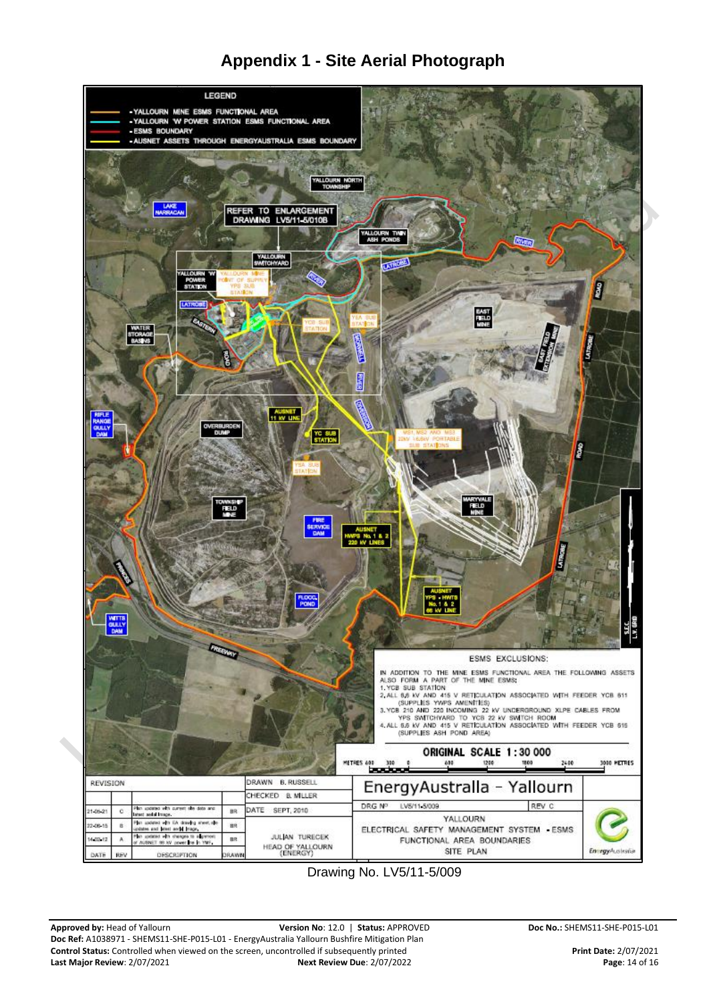



Drawing No. LV5/11-5/009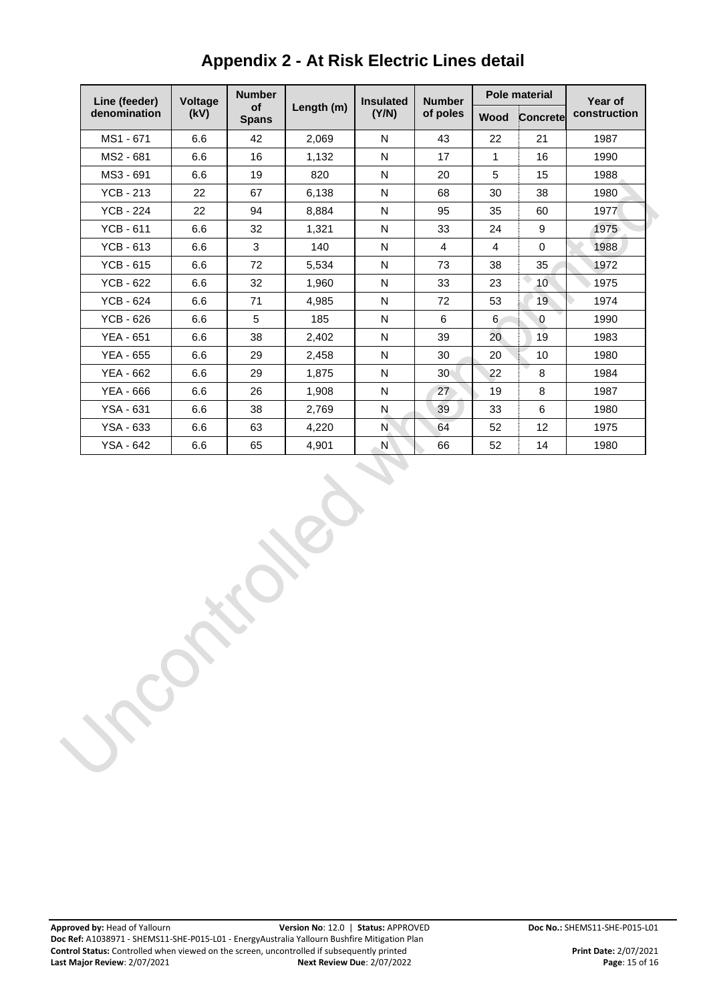| Line (feeder)    | <b>Voltage</b> | <b>Number</b>      |            | <b>Insulated</b> | <b>Number</b><br>of poles | <b>Pole material</b>    |          | Year of      |
|------------------|----------------|--------------------|------------|------------------|---------------------------|-------------------------|----------|--------------|
| denomination     | (kV)           | of<br><b>Spans</b> | Length (m) | (Y/N)            |                           | Wood                    | Concrete | construction |
| MS1 - 671        | 6.6            | 42                 | 2,069      | N                | 43                        | 22                      | 21       | 1987         |
| MS2 - 681        | 6.6            | 16                 | 1,132      | N                | 17                        | 1                       | 16       | 1990         |
| MS3 - 691        | 6.6            | 19                 | 820        | N                | 20                        | 5                       | 15       | 1988         |
| <b>YCB - 213</b> | 22             | 67                 | 6,138      | N                | 68                        | 30                      | 38       | 1980         |
| <b>YCB - 224</b> | 22             | 94                 | 8,884      | N                | 95                        | 35                      | 60       | 1977         |
| $YCB - 611$      | 6.6            | 32                 | 1,321      | N                | 33                        | 24                      | 9        | 1975         |
| $YCB - 613$      | 6.6            | 3                  | 140        | N                | 4                         | $\overline{\mathbf{4}}$ | $\Omega$ | 1988         |
| <b>YCB - 615</b> | 6.6            | 72                 | 5.534      | N                | 73                        | 38                      | 35       | 1972         |
| <b>YCB - 622</b> | 6.6            | 32                 | 1,960      | N                | 33                        | 23                      | 10       | 1975         |
| <b>YCB - 624</b> | 6.6            | 71                 | 4,985      | N                | 72                        | 53                      | 19       | 1974         |
| $YCB - 626$      | 6.6            | 5                  | 185        | N                | 6                         | 6                       | 0        | 1990         |
| <b>YEA - 651</b> | 6.6            | 38                 | 2,402      | N                | 39                        | 20                      | 19       | 1983         |
| YEA - 655        | 6.6            | 29                 | 2.458      | N                | 30                        | 20                      | 10       | 1980         |
| YEA - 662        | 6.6            | 29                 | 1.875      | N                | 30                        | 22                      | 8        | 1984         |
| YEA - 666        | 6.6            | 26                 | 1,908      | N                | 27                        | 19                      | 8        | 1987         |
| <b>YSA - 631</b> | 6.6            | 38                 | 2,769      | N                | 39                        | 33                      | 6        | 1980         |
| YSA - 633        | 6.6            | 63                 | 4,220      | N                | 64                        | 52                      | 12       | 1975         |
| YSA - 642        | 6.6            | 65                 | 4,901      | N                | 66                        | 52                      | 14       | 1980         |

# **Appendix 2 - At Risk Electric Lines detail**

 $\mathbf{r}$